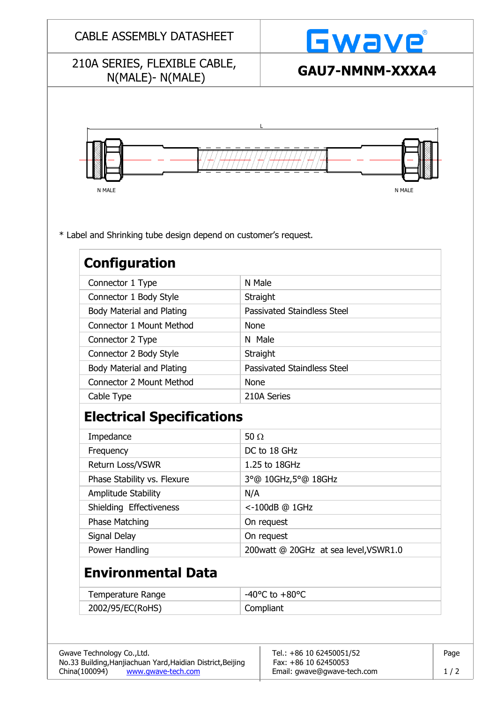| 210A SERIES, FLEXIBLE CABLE,                                    | <b>Gwave</b><br>GAU7-NMNM-XXXA4       |
|-----------------------------------------------------------------|---------------------------------------|
| N(MALE)-N(MALE)                                                 |                                       |
|                                                                 |                                       |
|                                                                 |                                       |
| N MALE                                                          | N MALE                                |
|                                                                 |                                       |
|                                                                 |                                       |
| * Label and Shrinking tube design depend on customer's request. |                                       |
| <b>Configuration</b>                                            |                                       |
| Connector 1 Type                                                | N Male                                |
| Connector 1 Body Style                                          | Straight                              |
| <b>Body Material and Plating</b>                                | <b>Passivated Staindless Steel</b>    |
| <b>Connector 1 Mount Method</b>                                 | <b>None</b>                           |
| Connector 2 Type                                                | N Male                                |
| Connector 2 Body Style                                          | Straight                              |
| Body Material and Plating                                       | Passivated Staindless Steel           |
| <b>Connector 2 Mount Method</b>                                 | <b>None</b>                           |
| Cable Type                                                      | 210A Series                           |
| <b>Electrical Specifications</b>                                |                                       |
| Impedance                                                       | 50 $\Omega$                           |
| Frequency                                                       | DC to 18 GHz                          |
| Return Loss/VSWR                                                | 1.25 to 18GHz                         |
| Phase Stability vs. Flexure                                     | 3°@ 10GHz,5°@ 18GHz                   |
| Amplitude Stability                                             | N/A                                   |
| Shielding Effectiveness                                         | <-100dB @ 1GHz                        |
| Phase Matching                                                  | On request                            |
| Signal Delay                                                    | On request                            |
| Power Handling                                                  | 200watt @ 20GHz at sea level, VSWR1.0 |
| <b>Environmental Data</b>                                       |                                       |
| Temperature Range                                               | -40 $^{\circ}$ C to +80 $^{\circ}$ C  |
| 2002/95/EC(RoHS)                                                | Compliant                             |
|                                                                 |                                       |